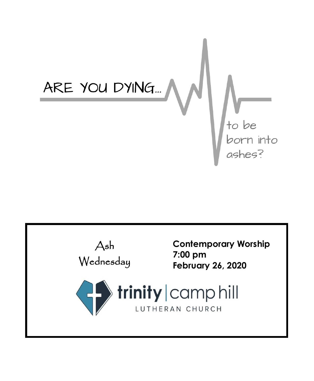

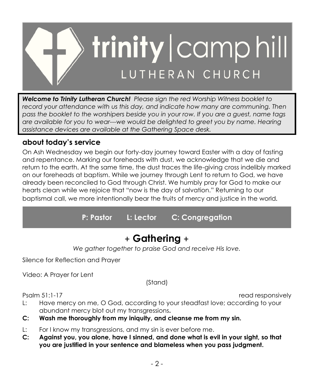

*Welcome to Trinity Lutheran Church! Please sign the red Worship Witness booklet to*  record your attendance with us this day, and indicate how many are communing. Then *pass the booklet to the worshipers beside you in your row. If you are a guest, name tags are available for you to wear---we would be delighted to greet you by name. Hearing assistance devices are available at the Gathering Space desk.*

# **about today's service**

On Ash Wednesday we begin our forty-day journey toward Easter with a day of fasting and repentance. Marking our foreheads with dust, we acknowledge that we die and return to the earth. At the same time, the dust traces the life-giving cross indelibly marked on our foreheads at baptism. While we journey through Lent to return to God, we have already been reconciled to God through Christ. We humbly pray for God to make our hearts clean while we rejoice that "now is the day of salvation." Returning to our baptismal call, we more intentionally bear the fruits of mercy and justice in the world*.*

**P: Pastor L: Lector C: Congregation**

# + **Gathering** +

*We gather together to praise God and receive His love.*

Silence for Reflection and Prayer

Video: A Prayer for Lent

(Stand)

Psalm 51:1-17 **read responsively** 

- L: Have mercy on me, O God, according to your steadfast love; according to your abundant mercy blot out my transgressions**.**
- **C: Wash me thoroughly from my iniquity, and cleanse me from my sin.**
- L: For I know my transgressions, and my sin is ever before me.
- **C: Against you, you alone, have I sinned, and done what is evil in your sight, so that you are justified in your sentence and blameless when you pass judgment.**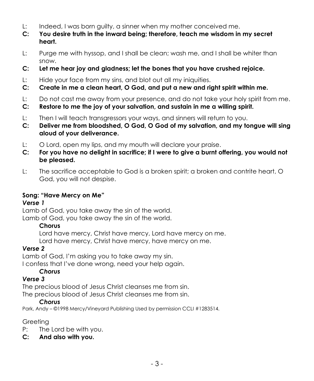- L: Indeed, I was born guilty, a sinner when my mother conceived me.
- **C: You desire truth in the inward being; therefore, teach me wisdom in my secret heart.**
- L: Purge me with hyssop, and I shall be clean; wash me, and I shall be whiter than snow.
- **C: Let me hear joy and gladness; let the bones that you have crushed rejoice.**
- L: Hide your face from my sins, and blot out all my iniquities.
- **C: Create in me a clean heart, O God, and put a new and right spirit within me.**
- L: Do not cast me away from your presence, and do not take your holy spirit from me.
- **C: Restore to me the joy of your salvation, and sustain in me a willing spirit.**
- L: Then I will teach transgressors your ways, and sinners will return to you.
- **C: Deliver me from bloodshed, O God, O God of my salvation, and my tongue will sing aloud of your deliverance.**
- L: O Lord, open my lips, and my mouth will declare your praise.
- **C: For you have no delight in sacrifice; if I were to give a burnt offering, you would not be pleased.**
- L: The sacrifice acceptable to God is a broken spirit; a broken and contrite heart, O God, you will not despise.

#### **Song: "Have Mercy on Me"**

### *Verse 1*

Lamb of God, you take away the sin of the world. Lamb of God, you take away the sin of the world.

#### **Chorus**

Lord have mercy, Christ have mercy, Lord have mercy on me. Lord have mercy, Christ have mercy, have mercy on me.

### *Verse 2*

Lamb of God, I'm asking you to take away my sin.

I confess that I've done wrong, need your help again.

# *Chorus*

### *Verse 3*

The precious blood of Jesus Christ cleanses me from sin. The precious blood of Jesus Christ cleanses me from sin.

### *Chorus*

Park, Andy – ©1998 Mercy/Vineyard Publishing Used by permission CCLI #1283514.

### Greeting

- P: The Lord be with you.
- **C: And also with you.**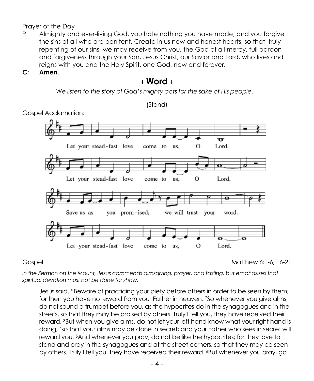Prayer of the Day

P: Almighty and ever-living God, you hate nothing you have made, and you forgive the sins of all who are penitent. Create in us new and honest hearts, so that, truly repenting of our sins, we may receive from you, the God of all mercy, full pardon and forgiveness through your Son, Jesus Christ, our Savior and Lord, who lives and reigns with you and the Holy Spirit, one God, now and forever.

#### **C: Amen.**

## + **Word** +

*We listen to the story of God's mighty acts for the sake of His people.*

(Stand)



Gospel Acclamation:

Gospel Matthew 6:1-6, 16-21

*In the Sermon on the Mount, Jesus commends almsgiving, prayer, and fasting, but emphasizes that spiritual devotion must not be done for show.*

Jesus said, "Beware of practicing your piety before others in order to be seen by them; for then you have no reward from your Father in heaven. <sup>2</sup>So whenever you give alms, do not sound a trumpet before you, as the hypocrites do in the synagogues and in the streets, so that they may be praised by others. Truly I tell you, they have received their reward. 3But when you give alms, do not let your left hand know what your right hand is doing, 4so that your alms may be done in secret; and your Father who sees in secret will reward you. 5And whenever you pray, do not be like the hypocrites; for they love to stand and pray in the synagogues and at the street corners, so that they may be seen by others. Truly I tell you, they have received their reward. <sup>6</sup>But whenever you pray, go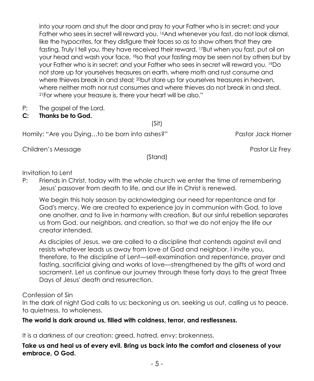into your room and shut the door and pray to your Father who is in secret; and your Father who sees in secret will reward you. 16And whenever you fast, do not look dismal, like the hypocrites, for they disfigure their faces so as to show others that they are fasting. Truly I tell you, they have received their reward. 17But when you fast, put oil on your head and wash your face, 18so that your fasting may be seen not by others but by your Father who is in secret; and your Father who sees in secret will reward you. 19Do not store up for yourselves treasures on earth, where moth and rust consume and where thieves break in and steal; <sup>20</sup>but store up for yourselves treasures in heaven, where neither moth nor rust consumes and where thieves do not break in and steal. <sup>21</sup>For where your treasure is, there your heart will be also."

- P: The gospel of the Lord.
- **C: Thanks be to God.**

(Sit)

Homily: "Are you Dying...to be born into ashes?" Pastor Jack Horner

Children's Message Pastor Liz Frey

(Stand)

#### Invitation to Lent

P: Friends in Christ, today with the whole church we enter the time of remembering Jesus' passover from death to life, and our life in Christ is renewed.

We begin this holy season by acknowledging our need for repentance and for God's mercy. We are created to experience joy in communion with God, to love one another, and to live in harmony with creation. But our sinful rebellion separates us from God, our neighbors, and creation, so that we do not enjoy the life our creator intended.

As disciples of Jesus, we are called to a discipline that contends against evil and resists whatever leads us away from love of God and neighbor. I invite you, therefore, to the discipline of Lent—self-examination and repentance, prayer and fasting, sacrificial giving and works of love—strengthened by the gifts of word and sacrament. Let us continue our journey through these forty days to the great Three Days of Jesus' death and resurrection.

#### Confession of Sin

In the dark of night God calls to us; beckoning us on, seeking us out, calling us to peace, to quietness, to wholeness.

#### **The world is dark around us, filled with coldness, terror, and restlessness.**

It is a darkness of our creation: greed, hatred, envy: brokenness.

**Take us and heal us of every evil. Bring us back into the comfort and closeness of your embrace, O God.**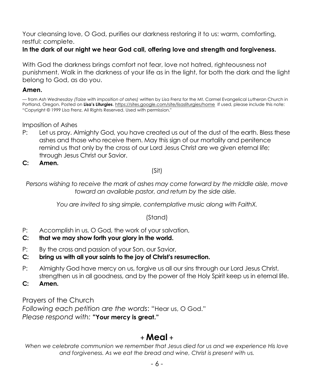Your cleansing love, O God, purifies our darkness restoring it to us: warm, comforting, restful: complete.

#### **In the dark of our night we hear God call, offering love and strength and forgiveness.**

With God the darkness brings comfort not fear, love not hatred, righteousness not punishment. Walk in the darkness of your life as in the light, for both the dark and the light belong to God, as do you.

#### **Amen.**

— from *Ash Wednesday (Taize with imposition of ashes)* written by Lisa Frenz for the Mt. Carmel Evangelical Lutheran Church in Portland, Oregon. Posted on **Lisa's Liturgies**.<https://sites.google.com/site/lisasliturgies/home>If used, please include this note: "Copyright © 1999 Lisa Frenz. All Rights Reserved. Used with permission."

Imposition of Ashes

- P: Let us pray. Almighty God, you have created us out of the dust of the earth. Bless these ashes and those who receive them. May this sign of our mortality and penitence remind us that only by the cross of our Lord Jesus Christ are we given eternal life; through Jesus Christ our Savior.
- **C: Amen.**

#### (Sit)

*Persons wishing to receive the mark of ashes may come forward by the middle aisle, move toward an available pastor, and return by the side aisle.* 

*You are invited to sing simple, contemplative music along with FaithX.*

(Stand)

- P: Accomplish in us, O God, the work of your salvation,
- **C: that we may show forth your glory in the world.**
- P: By the cross and passion of your Son, our Savior,
- C: bring us with all your saints to the joy of Christ's resurrection.
- P: Almighty God have mercy on us, forgive us all our sins through our Lord Jesus Christ, strengthen us in all goodness, and by the power of the Holy Spirit keep us in eternal life.
- **C: Amen.**

Prayers of the Church *Following each petition are the words*: "Hear us, O God." *Please respond with:* **"Your mercy is great."**

# + **Meal** +

When we celebrate communion we remember that Jesus died for us and we experience His love *and forgiveness. As we eat the bread and wine, Christ is present with us.*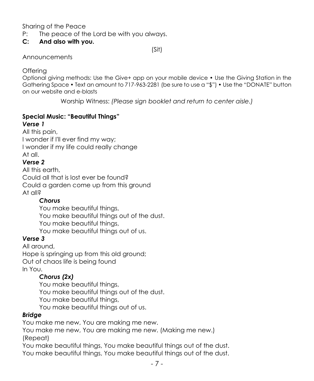Sharing of the Peace

P: The peace of the Lord be with you always.

#### **C: And also with you.**

(Sit)

#### Announcements

#### **Offering**

Optional giving methods: Use the Give+ app on your mobile device • Use the Giving Station in the Gathering Space • Text an amount to 717-963-2281 (be sure to use a "\$") • Use the "DONATE" button on our website and e-blasts

Worship Witness: *(Please sign booklet and return to center aisle.)*

# **Special Music: "Beautiful Things"**

#### *Verse 1*

All this pain, I wonder if I'll ever find my way; I wonder if my life could really change At all.

#### *Verse 2*

All this earth,

Could all that is lost ever be found? Could a garden come up from this ground At all?

#### *Chorus*

You make beautiful things, You make beautiful things out of the dust. You make beautiful things, You make beautiful things out of us.

#### *Verse 3*

All around, Hope is springing up from this old ground; Out of chaos life is being found In You.

#### *Chorus (2x)*

You make beautiful things, You make beautiful things out of the dust. You make beautiful things, You make beautiful things out of us.

#### *Bridge*

You make me new, You are making me new. You make me new, You are making me new. (Making me new.) (Repeat)

You make beautiful things, You make beautiful things out of the dust. You make beautiful things, You make beautiful things out of the dust.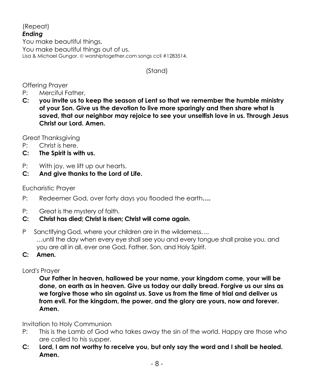#### (Repeat) *Ending*

You make beautiful things, You make beautiful things out of us. Lisa & Michael Gungor. © worshiptogether.com songs ccli #1283514.

#### (Stand)

Offering Prayer

- P: Merciful Father,
- **C: you invite us to keep the season of Lent so that we remember the humble ministry of your Son. Give us the devotion to live more sparingly and then share what is saved, that our neighbor may rejoice to see your unselfish love in us. Through Jesus Christ our Lord. Amen.**

Great Thanksgiving

- P: Christ is here.
- **C: The Spirit is with us.**
- P: With joy, we lift up our hearts.
- **C: And give thanks to the Lord of Life.**

Eucharistic Prayer

- P: Redeemer God, over forty days you flooded the earth**….**
- P: Great is the mystery of faith.
- **C: Christ has died; Christ is risen; Christ will come again.**
- P Sanctifying God, where your children are in the wilderness…. …until the day when every eye shall see you and every tongue shall praise you, and you are all in all, ever one God, Father, Son, and Holy Spirit.
- **C: Amen.**

#### Lord's Prayer

**Our Father in heaven, hallowed be your name, your kingdom come, your will be done, on earth as in heaven. Give us today our daily bread. Forgive us our sins as we forgive those who sin against us. Save us from the time of trial and deliver us from evil. For the kingdom, the power, and the glory are yours, now and forever. Amen.**

Invitation to Holy Communion

- P: This is the Lamb of God who takes away the sin of the world. Happy are those who are called to his supper.
- **C: Lord, I am not worthy to receive you, but only say the word and I shall be healed. Amen.**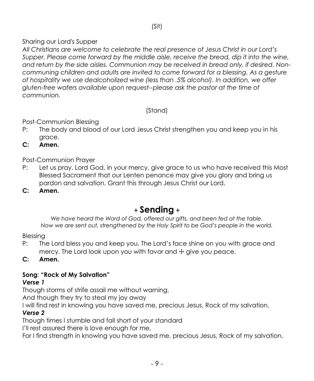Sharing our Lord's Supper

*All Christians are welcome to celebrate the real presence of Jesus Christ in our Lord's Supper. Please come forward by the middle aisle, receive the bread, dip it into the wine, and return by the side aisles. Communion may be received in bread only, if desired. Noncommuning children and adults are invited to come forward for a blessing. As a gesture of hospitality we use dealcoholized wine (less than .5% alcohol). In addition, we offer gluten-free wafers available upon request--please ask the pastor at the time of communion.*

(Stand)

Post-Communion Blessing

- P: The body and blood of our Lord Jesus Christ strengthen you and keep you in his grace.
- **C: Amen.**

Post-Communion Prayer

- P: Let us pray. Lord God, in your mercy, give grace to us who have received this Most Blessed Sacrament that our Lenten penance may give you glory and bring us pardon and salvation. Grant this through Jesus Christ our Lord.
- **C: Amen.**

# + **Sending** +

*We have heard the Word of God, offered our gifts, and been fed at the table. Now we are sent out, strengthened by the Holy Spirit to be God's people in the world.*

Blessing

P: The Lord bless you and keep you. The Lord's face shine on you with grace and mercy. The Lord look upon you with favor and  $\pm$  give you peace.

**C: Amen.**

### **Song**: **"Rock of My Salvation"**

#### *Verse 1*

Though storms of strife assail me without warning,

And though they try to steal my joy away

I will find rest in knowing you have saved me, precious Jesus, Rock of my salvation.

### *Verse 2*

Though times I stumble and fall short of your standard

I'll rest assured there is love enough for me,

For I find strength in knowing you have saved me, precious Jesus, Rock of my salvation.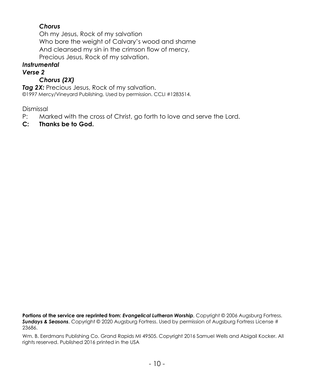#### *Chorus*

Oh my Jesus, Rock of my salvation Who bore the weight of Calvary's wood and shame And cleansed my sin in the crimson flow of mercy, Precious Jesus, Rock of my salvation.

#### *Instrumental*

#### *Verse 2*

#### *Chorus (2X)*

**Tag 2X:** Precious Jesus, Rock of my salvation. ©1997 Mercy/Vineyard Publishing. Used by permission. CCLI #1283514.

Dismissal

P: Marked with the cross of Christ, go forth to love and serve the Lord.

#### **C: Thanks be to God.**

**Portions of the service are reprinted from:** *Evangelical Lutheran Worship*, Copyright © 2006 Augsburg Fortress. *Sundays & Seasons*, Copyright © 2020 Augsburg Fortress. Used by permission of Augsburg Fortress License # 23686.

Wm. B. Eerdmans Publishing Co. Grand Rapids MI 49505. Copyright 2016 Samuel Wells and Abigail Kocker. All rights reserved. Published 2016 printed in the USA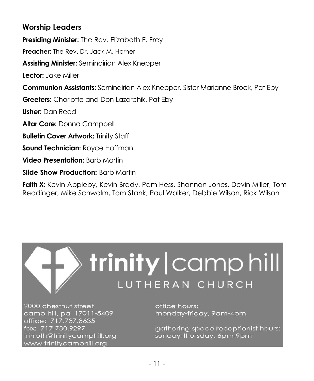# **Worship Leaders**

**Presiding Minister:** The Rev. Elizabeth E. Frey **Preacher:** The Rev. Dr. Jack M. Horner **Assisting Minister:** Seminairian Alex Knepper **Lector:** Jake Miller **Communion Assistants:** Seminairian Alex Knepper, Sister Marianne Brock, Pat Eby **Greeters:** Charlotte and Don Lazarchik, Pat Eby **Usher:** Dan Reed **Altar Care:** Donna Campbell **Bulletin Cover Artwork:** Trinity Staff **Sound Technician:** Royce Hoffman **Video Presentation:** Barb Martin **Slide Show Production: Barb Martin** 

**Faith X:** Kevin Appleby, Kevin Brady, Pam Hess, Shannon Jones, Devin Miller, Tom Reddinger, Mike Schwalm, Tom Stank, Paul Walker, Debbie Wilson, Rick Wilson



2000 chestnut street camp hill, pa 17011-5409 office: 717.737.8635 fax: 717.730.9297 trinluth@trinitycamphill.org www.trinitycamphill.org

office hours: monday-friday, 9am-4pm

gathering space receptionist hours: sunday-thursday, 6pm-9pm